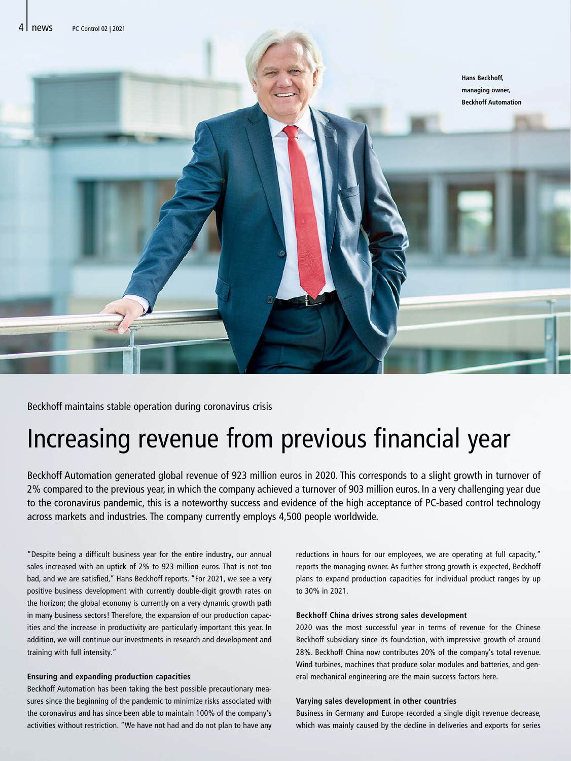

Beckhoff maintains stable operation during coronavirus crisis

# Increasing revenue from previous financial year

Beckhoff Automation generated global revenue of 923 million euros in 2020. This corresponds to a slight growth in turnover of 2% compared to the previous year, in which the company achieved a turnover of 903 million euros. In a very challenging year due to the coronavirus pandemic, this is a noteworthy success and evidence of the high acceptance of PC-based control technology across markets and industries. The company currently employs 4,500 people worldwide.

"Despite being a difficult business year for the entire industry, our annual sales increased with an uptick of 2% to 923 million euros. That is not too bad, and we are satisfied," Hans Beckhoff reports. "For 2021, we see a very positive business development with currently double-digit growth rates on the horizon; the global economy is currently on a very dynamic growth path in many business sectors! Therefore, the expansion of our production capacities and the increase in productivity are particularly important this year. In addition, we will continue our investments in research and development and training with full intensity."

## **Ensuring and expanding production capacities**

Beckhoff Automation has been taking the best possible precautionary measures since the beginning of the pandemic to minimize risks associated with the coronavirus and has since been able to maintain 100% of the company's activities without restriction. "We have not had and do not plan to have any reductions in hours for our employees, we are operating at full capacity," reports the managing owner. As further strong growth is expected, Beckhoff plans to expand production capacities for individual product ranges by up to 30% in 2021.

## **Beckhoff China drives strong sales development**

2020 was the most successful year in terms of revenue for the Chinese Beckhoff subsidiary since its foundation, with impressive growth of around 28%. Beckhoff China now contributes 20% of the company's total revenue. Wind turbines, machines that produce solar modules and batteries, and general mechanical engineering are the main success factors here.

## **Varying sales development in other countries**

Business in Germany and Europe recorded a single digit revenue decrease, which was mainly caused by the decline in deliveries and exports for series